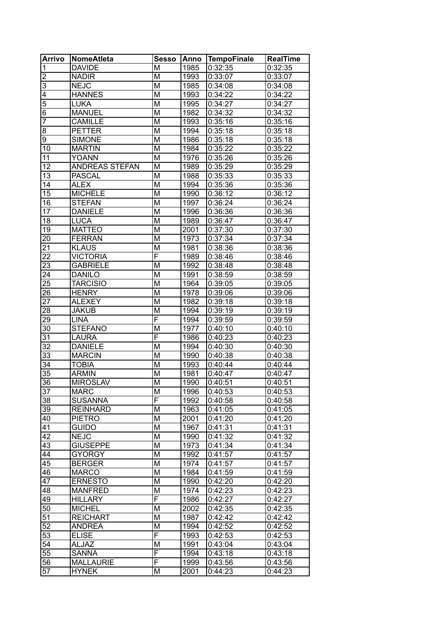| <b>Arrivo</b>           | <b>NomeAtleta</b>     | <b>Sesso</b>            | Anno | TempoFinale | <b>RealTime</b> |
|-------------------------|-----------------------|-------------------------|------|-------------|-----------------|
| $\mathbf 1$             | <b>DAVIDE</b>         | M                       | 1985 | 0:32:35     | 0:32:35         |
| $\overline{\mathbf{c}}$ | <b>NADIR</b>          | M                       | 1993 | 0:33:07     | 0:33:07         |
| $\overline{3}$          | <b>NEJC</b>           | M                       | 1985 | 0:34:08     | 0:34:08         |
| $\overline{4}$          | <b>HANNES</b>         | M                       | 1993 | 0:34:22     | 0:34:22         |
| $\overline{5}$          | LUKA                  | M                       | 1995 | 0:34:27     | 0:34:27         |
| $\overline{6}$          | <b>MANUEL</b>         | M                       | 1982 | 0:34:32     | 0:34:32         |
| 7                       | <b>CAMILLE</b>        | M                       | 1993 | 0:35:16     | 0:35:16         |
| $\overline{8}$          | <b>PETTER</b>         | M                       | 1994 | 0:35:18     | 0:35:18         |
| ढ़                      | <b>SIMONE</b>         | M                       | 1986 | 0:35:18     | 0:35:18         |
| 10                      | <b>MARTIN</b>         | M                       | 1984 | 0:35:22     | 0:35:22         |
| 11                      | <b>YOANN</b>          | M                       | 1976 | 0:35:26     | 0:35:26         |
| 12                      | <b>ANDREAS STEFAN</b> | M                       | 1989 | 0:35:29     | 0:35:29         |
| 13                      | <b>PASCAL</b>         | M                       | 1988 | 0:35:33     | 0:35:33         |
| 14                      | <b>ALEX</b>           | M                       | 1994 | 0:35:36     | 0:35:36         |
| 15                      | <b>MICHELE</b>        | M                       | 1990 | 0:36:12     | 0:36:12         |
| 16                      | <b>STEFAN</b>         | M                       | 1997 | 0:36:24     | 0:36:24         |
| 17                      | <b>DANIELE</b>        | M                       | 1996 | 0:36:36     | 0:36:36         |
| 18                      | <b>LUCA</b>           | M                       | 1989 | 0:36:47     | 0:36:47         |
| 19                      | <b>MATTEO</b>         | M                       | 2001 | 0:37:30     | 0:37:30         |
| 20                      | <b>FERRAN</b>         | M                       | 1973 | 0:37:34     | 0:37:34         |
| 21                      | <b>KLAUS</b>          | M                       | 1981 | 0:38:36     | 0:38:36         |
| $\overline{22}$         | <b>VICTORIA</b>       | $\overline{\mathsf{F}}$ | 1989 | 0:38:46     | 0:38:46         |
| 23                      | <b>GABRIELE</b>       | M                       | 1992 | 0:38:48     | 0:38:48         |
| 24                      | <b>DANILO</b>         | M                       | 1991 | 0:38:59     | 0:38:59         |
| 25                      | <b>TARCISIO</b>       | M                       | 1964 | 0:39:05     | 0:39:05         |
| 26                      | <b>HENRY</b>          | M                       | 1978 | 0:39:06     | 0:39:06         |
| 27                      | <b>ALEXEY</b>         | M                       | 1982 | 0:39:18     | 0:39:18         |
| 28                      | <b>JAKUB</b>          | M                       | 1994 | 0:39:19     | 0:39:19         |
| 29                      | <b>LINA</b>           | $\overline{\mathsf{F}}$ | 1994 | 0:39:59     | 0:39:59         |
| 30                      | <b>STEFANO</b>        | M                       | 1977 | 0:40:10     | 0:40:10         |
| 31                      | <b>LAURA</b>          | $\overline{\mathsf{F}}$ | 1986 | 0:40:23     | 0:40:23         |
| $\overline{32}$         | <b>DANIELE</b>        | M                       | 1994 | 0:40:30     | 0:40:30         |
| 33                      | <b>MARCIN</b>         | M                       | 1990 | 0:40:38     | 0:40:38         |
| 34                      | <b>TOBIA</b>          | M                       | 1993 | 0:40:44     | 0:40:44         |
| 35                      | <b>ARMIN</b>          | M                       | 1981 | 0:40:47     | 0:40:47         |
| 36                      | <b>MIROSLAV</b>       | M                       | 1990 | 0:40:51     | 0:40:51         |
| $\overline{37}$         | <b>MARC</b>           | $\overline{\mathsf{M}}$ | 1996 | 0:40:53     | 0:40:53         |
| 38                      | <b>SUSANNA</b>        | F                       | 1992 | 0:40:58     | 0:40:58         |
| 39                      | <b>REINHARD</b>       | M                       | 1963 | 0:41:05     | 0:41:05         |
| 40                      | <b>PIETRO</b>         | M                       | 2001 | 0:41:20     | 0:41:20         |
| 41                      | <b>GUIDO</b>          | M                       | 1967 | 0:41:31     | 0:41:31         |
| 42                      | <b>NEJC</b>           | M                       | 1990 | 0:41:32     | 0:41:32         |
| 43                      | <b>GIUSEPPE</b>       | M                       | 1973 | 0:41:34     | 0:41:34         |
| 44                      | <b>GYORGY</b>         | M                       | 1992 | 0:41:57     | 0:41:57         |
| 45                      | <b>BERGER</b>         | M                       | 1974 | 0:41:57     | 0:41:57         |
| 46                      | <b>MARCO</b>          | M                       | 1984 | 0:41:59     | 0:41:59         |
| 47                      | <b>ERNESTO</b>        | M                       | 1990 | 0:42:20     | 0:42:20         |
| 48                      | <b>MANFRED</b>        | M                       | 1974 | 0:42:23     | 0:42:23         |
| 49                      | <b>HILLARY</b>        | F                       | 1986 | 0:42:27     | 0:42:27         |
| 50                      | <b>MICHEL</b>         | M                       | 2002 | 0:42:35     | 0:42:35         |
| 51                      | <b>REICHART</b>       | M                       | 1987 | 0:42:42     | 0:42:42         |
| 52                      | <b>ANDREA</b>         | M                       | 1994 | 0:42:52     | 0:42:52         |
| 53                      | <b>ELISE</b>          | F                       | 1993 | 0:42:53     | 0:42:53         |
| 54                      | <b>ALJAZ</b>          | M                       | 1991 | 0:43:04     | 0:43:04         |
| 55                      | <b>SANNA</b>          | F                       | 1994 | 0:43:18     | 0:43:18         |
| 56                      | <b>MALLAURIE</b>      | F                       | 1999 | 0:43:56     | 0:43:56         |
| 57                      | <b>HYNEK</b>          | M                       | 2001 | 0:44:23     | 0:44:23         |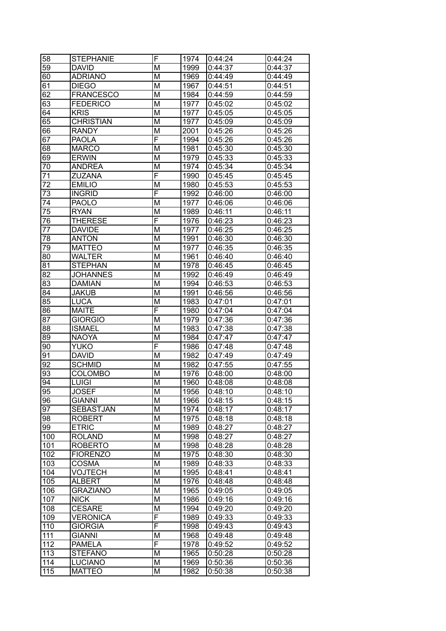| 58              | <b>STEPHANIE</b> | F                       | 1974 | 0:44:24 | 0:44:24 |
|-----------------|------------------|-------------------------|------|---------|---------|
| 59              | <b>DAVID</b>     | M                       | 1999 | 0:44:37 | 0:44:37 |
| 60              | <b>ADRIANO</b>   | M                       | 1969 | 0:44:49 | 0:44:49 |
| 61              | <b>DIEGO</b>     | M                       | 1967 | 0:44:51 | 0:44:51 |
| 62              | <b>FRANCESCO</b> | M                       | 1984 | 0:44:59 | 0:44:59 |
| 63              | <b>FEDERICO</b>  | M                       | 1977 | 0:45:02 | 0:45:02 |
| 64              | <b>KRIS</b>      | M                       | 1977 | 0:45:05 | 0:45:05 |
| 65              | <b>CHRISTIAN</b> | M                       | 1977 | 0:45:09 | 0:45:09 |
| 66              | <b>RANDY</b>     | M                       | 2001 | 0:45:26 | 0:45:26 |
| 67              | <b>PAOLA</b>     | F                       | 1994 | 0:45:26 | 0:45:26 |
| 68              | <b>MARCO</b>     | M                       | 1981 | 0:45:30 | 0:45:30 |
| 69              | <b>ERWIN</b>     | M                       | 1979 | 0:45:33 | 0:45:33 |
| 70              | <b>ANDREA</b>    | M                       | 1974 | 0:45:34 | 0:45:34 |
| 71              | <b>ZUZANA</b>    | F                       | 1990 | 0:45:45 | 0:45:45 |
| $\overline{72}$ | <b>EMILIO</b>    | M                       | 1980 | 0:45:53 | 0:45:53 |
| 73              | <b>INGRID</b>    | F                       | 1992 | 0:46:00 | 0:46:00 |
| 74              | <b>PAOLO</b>     | M                       | 1977 | 0:46:06 | 0:46:06 |
| 75              | <b>RYAN</b>      | M                       | 1989 | 0:46:11 | 0:46:11 |
| 76              | <b>THERESE</b>   | F                       | 1976 | 0:46:23 | 0:46:23 |
| 77              | <b>DAVIDE</b>    | M                       |      | 0:46:25 |         |
| 78              |                  | M                       | 1977 |         | 0:46:25 |
|                 | <b>ANTON</b>     |                         | 1991 | 0:46:30 | 0:46:30 |
| 79              | <b>MATTEO</b>    | M                       | 1977 | 0:46:35 | 0:46:35 |
| 80              | <b>WALTER</b>    | M                       | 1961 | 0:46:40 | 0:46:40 |
| 81              | <b>STEPHAN</b>   | M                       | 1978 | 0:46:45 | 0:46:45 |
| 82              | <b>JOHANNES</b>  | M                       | 1992 | 0:46:49 | 0:46:49 |
| 83              | <b>DAMIAN</b>    | M                       | 1994 | 0:46:53 | 0:46:53 |
| 84              | <b>JAKUB</b>     | M                       | 1991 | 0:46:56 | 0:46:56 |
| 85              | <b>LUCA</b>      | M                       | 1983 | 0:47:01 | 0:47:01 |
| 86              | <b>MAITE</b>     | F                       | 1980 | 0:47:04 | 0:47:04 |
| 87              | <b>GIORGIO</b>   | M                       | 1979 | 0:47:36 | 0:47:36 |
| 88              | <b>ISMAEL</b>    | M                       | 1983 | 0:47:38 | 0:47:38 |
| 89              | <b>NAOYA</b>     | M                       | 1984 | 0:47:47 | 0:47:47 |
| 90              | <b>YUKO</b>      | F                       | 1986 | 0:47:48 | 0:47:48 |
| 91              | <b>DAVID</b>     | M                       | 1982 | 0:47:49 | 0:47:49 |
| 92              | <b>SCHMID</b>    | M                       | 1982 | 0:47:55 | 0:47:55 |
| 93              | <b>COLOMBO</b>   | M                       | 1976 | 0:48:00 | 0:48:00 |
| 94              | <b>LUIGI</b>     | M                       | 1960 | 0:48:08 | 0:48:08 |
| $\overline{95}$ | <b>JOSEF</b>     | $\overline{\mathsf{M}}$ | 1956 | 0:48:10 | 0:48:10 |
| 96              | <b>GIANNI</b>    | M                       | 1966 | 0:48:15 | 0:48:15 |
| 97              | <b>SEBASTJAN</b> | M                       | 1974 | 0:48:17 | 0:48:17 |
| 98              | <b>ROBERT</b>    | M                       | 1975 | 0:48:18 | 0:48:18 |
| 99              | <b>ETRIC</b>     | M                       | 1989 | 0:48:27 | 0:48:27 |
| 100             | <b>ROLAND</b>    | M                       | 1998 | 0:48:27 | 0:48:27 |
| 101             | <b>ROBERTO</b>   | M                       | 1998 | 0:48:28 | 0:48:28 |
| 102             | <b>FIORENZO</b>  | M                       | 1975 | 0:48:30 | 0:48:30 |
| 103             | <b>COSMA</b>     | M                       | 1989 | 0:48:33 | 0:48:33 |
| 104             | <b>VOJTECH</b>   | M                       | 1995 | 0:48:41 | 0:48:41 |
| 105             | <b>ALBERT</b>    | M                       | 1976 | 0:48:48 | 0:48:48 |
| 106             | <b>GRAZIANO</b>  | M                       | 1965 | 0:49:05 | 0:49:05 |
| 107             | <b>NICK</b>      | M                       | 1986 | 0:49:16 | 0:49:16 |
| 108             | <b>CESARE</b>    | М                       | 1994 | 0:49:20 | 0:49:20 |
| 109             | <b>VERONICA</b>  | F                       | 1989 | 0:49:33 | 0:49:33 |
| 110             | <b>GIORGIA</b>   | F                       | 1998 | 0:49:43 | 0:49:43 |
| 111             | <b>GIANNI</b>    | M                       | 1968 | 0:49:48 | 0:49:48 |
| 112             | <b>PAMELA</b>    | F                       | 1978 | 0:49:52 | 0:49:52 |
| 113             | <b>STEFANO</b>   | M                       | 1965 | 0:50:28 | 0:50:28 |
| 114             | <b>LUCIANO</b>   | M                       | 1969 | 0:50:36 | 0:50:36 |
| 115             | <b>MATTEO</b>    | M                       | 1982 | 0:50:38 | 0:50:38 |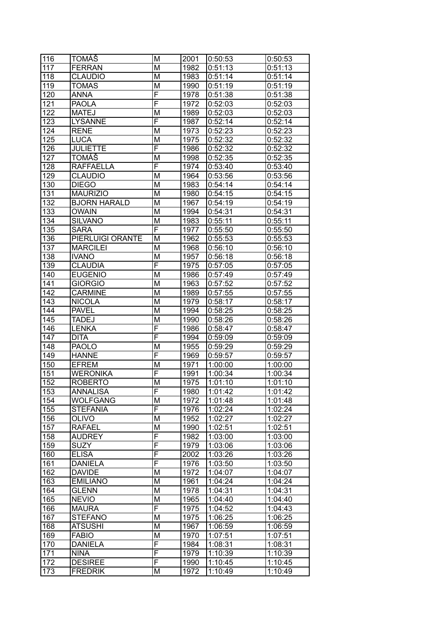| 116              | <b>TOMÁŠ</b>        | M              | 2001 | 0:50:53 | 0:50:53 |
|------------------|---------------------|----------------|------|---------|---------|
| 117              | <b>FERRAN</b>       | M              | 1982 | 0:51:13 | 0:51:13 |
| 118              | <b>CLAUDIO</b>      | M              | 1983 | 0:51:14 | 0:51:14 |
| 119              | <b>TOMAS</b>        | М              | 1990 | 0:51:19 | 0:51:19 |
| 120              | <b>ANNA</b>         | F              | 1978 | 0:51:38 | 0:51:38 |
| 121              | <b>PAOLA</b>        | F              | 1972 | 0:52:03 | 0:52:03 |
| 122              | <b>MATEJ</b>        | M              | 1989 | 0:52:03 | 0:52:03 |
| 123              | <b>LYSANNE</b>      | F              | 1987 | 0:52:14 | 0:52:14 |
| 124              | <b>RENE</b>         | M              | 1973 | 0:52:23 | 0:52:23 |
| 125              | <b>LUCA</b>         | М              | 1975 | 0:52:32 | 0:52:32 |
| 126              | <b>JULIETTE</b>     | F              | 1986 | 0:52:32 | 0:52:32 |
| 127              | <b>TOMÁŠ</b>        | M              | 1998 | 0:52:35 | 0:52:35 |
| 128              | <b>RAFFAELLA</b>    | F              | 1974 | 0:53:40 | 0:53:40 |
| 129              | <b>CLAUDIO</b>      | M              | 1964 | 0:53:56 | 0:53:56 |
| 130              | <b>DIEGO</b>        | M              | 1983 | 0:54:14 | 0:54:14 |
| 131              | <b>MAURIZIO</b>     | M              | 1980 | 0:54:15 | 0:54:15 |
| 132              | <b>BJORN HARALD</b> | М              | 1967 | 0:54:19 | 0:54:19 |
| 133              | <b>OWAIN</b>        | М              | 1994 | 0:54:31 | 0:54:31 |
| 134              | <b>SILVANO</b>      | M              | 1983 | 0:55:11 | 0:55:11 |
| 135              | <b>SARA</b>         | F              | 1977 | 0:55:50 | 0:55:50 |
| 136              | PIERLUIGI ORANTE    | M              | 1962 | 0:55:53 | 0:55:53 |
| 137              | <b>MARCILEI</b>     | M              | 1968 | 0:56:10 | 0:56:10 |
| 138              | <b>IVANO</b>        | M              | 1957 | 0:56:18 | 0:56:18 |
|                  | <b>CLAUDIA</b>      | F              | 1975 |         |         |
| 139              |                     |                |      | 0:57:05 | 0:57:05 |
| 140              | <b>EUGENIO</b>      | M              | 1986 | 0:57:49 | 0:57:49 |
| 141              | <b>GIORGIO</b>      | M              | 1963 | 0:57:52 | 0:57:52 |
| 142              | <b>CARMINE</b>      | M              | 1989 | 0:57:55 | 0:57:55 |
| 143              | <b>NICOLA</b>       | M              | 1979 | 0:58:17 | 0:58:17 |
| 144              | <b>PAVEL</b>        | M              | 1994 | 0:58:25 | 0:58:25 |
| 145              | <b>TADEJ</b>        | M              | 1990 | 0:58:26 | 0:58:26 |
| 146              | <b>LENKA</b>        | F              | 1986 | 0:58:47 | 0:58:47 |
| 147              | <b>DITA</b>         | F              | 1994 | 0:59:09 | 0:59:09 |
| 148              | <b>PAOLO</b>        | M              | 1955 | 0:59:29 | 0:59:29 |
| 149              | <b>HANNE</b>        | F              | 1969 | 0:59:57 | 0:59:57 |
| 150              | <b>EFREM</b>        | M              | 1971 | 1:00:00 | 1:00:00 |
| 151              | <b>WERONIKA</b>     | F              | 1991 | 1:00:34 | 1:00:34 |
| 152              | <b>ROBERTO</b>      | M              | 1975 | 1:01:10 | 1:01:10 |
| $\overline{153}$ | <b>ANNALISA</b>     | $\overline{F}$ | 1980 | 1:01:42 | 1:01:42 |
| 154              | <b>WOLFGANG</b>     | M              | 1972 | 1:01:48 | 1:01:48 |
| 155              | <b>STEFANIA</b>     | F              | 1976 | 1:02:24 | 1:02:24 |
| 156              | <b>OLIVO</b>        | M              | 1952 | 1:02:27 | 1:02:27 |
| 157              | <b>RAFAEL</b>       | M              | 1990 | 1:02:51 | 1:02:51 |
| 158              | <b>AUDREY</b>       | F              | 1982 | 1:03:00 | 1:03:00 |
| 159              | <b>SUZY</b>         | F              | 1979 | 1:03:06 | 1:03:06 |
| 160              | <b>ELISA</b>        | F              | 2002 | 1:03:26 | 1:03:26 |
| 161              | <b>DANIELA</b>      | F              | 1976 | 1:03:50 | 1:03:50 |
| 162              | <b>DAVIDE</b>       | M              | 1972 | 1:04:07 | 1:04:07 |
| 163              | <b>EMILIANO</b>     | M              | 1961 | 1:04:24 | 1:04:24 |
| 164              | <b>GLENN</b>        | M              | 1978 | 1:04:31 | 1:04:31 |
| 165              | <b>NEVIO</b>        | M              | 1965 | 1:04:40 | 1:04:40 |
| 166              | <b>MAURA</b>        | F              | 1975 | 1:04:52 | 1:04:43 |
| 167              | <b>STEFANO</b>      | M              | 1975 | 1:06:25 | 1:06:25 |
| 168              | <b>ATSUSHI</b>      | M              | 1967 | 1:06:59 | 1:06:59 |
| 169              | <b>FABIO</b>        | M              | 1970 | 1:07:51 | 1:07:51 |
| 170              | <b>DANIELA</b>      | F              | 1984 | 1:08:31 | 1:08:31 |
| 171              | <b>NINA</b>         | F              | 1979 | 1:10:39 | 1:10:39 |
| 172              | <b>DESIREE</b>      | F              | 1990 | 1:10:45 | 1:10:45 |
| 173              | <b>FREDRIK</b>      | M              | 1972 | 1:10:49 | 1:10:49 |